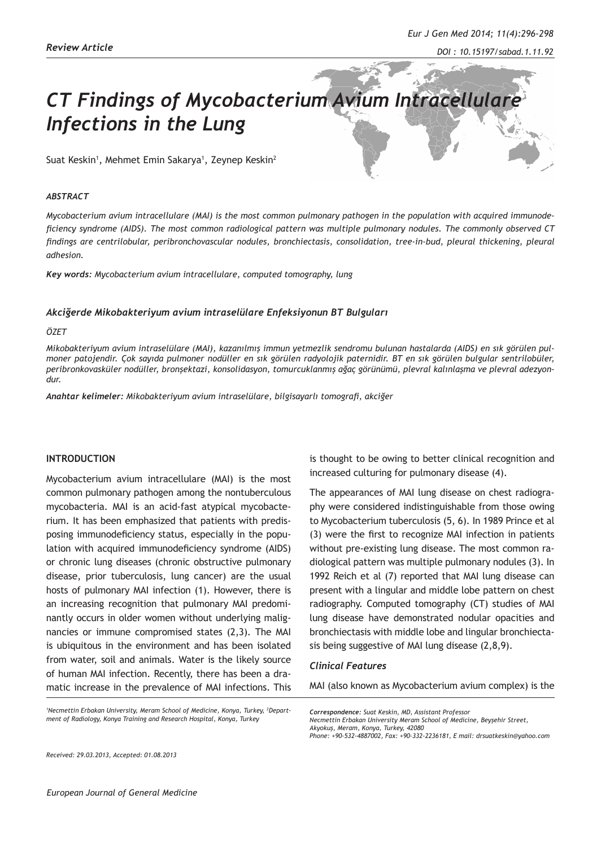# *CT Findings of Mycobacterium Avium Intracellulare Infections in the Lung*

Suat Keskin<sup>1</sup>, Mehmet Emin Sakarya<sup>1</sup>, Zeynep Keskin<sup>2</sup>

#### *ABSTRACT*

*Mycobacterium avium intracellulare (MAI) is the most common pulmonary pathogen in the population with acquired immunodeficiency syndrome (AIDS). The most common radiological pattern was multiple pulmonary nodules. The commonly observed CT findings are centrilobular, peribronchovascular nodules, bronchiectasis, consolidation, tree-in-bud, pleural thickening, pleural adhesion.*

*Key words: Mycobacterium avium intracellulare, computed tomography, lung*

### *Akciğerde Mikobakteriyum avium intraselülare Enfeksiyonun BT Bulguları*

#### *ÖZET*

*Mikobakteriyum avium intraselülare (MAI), kazanılmış immun yetmezlik sendromu bulunan hastalarda (AIDS) en sık görülen pulmoner patojendir. Çok sayıda pulmoner nodüller en sık görülen radyolojik paternidir. BT en sık görülen bulgular sentrilobüler, peribronkovasküler nodüller, bronşektazi, konsolidasyon, tomurcuklanmış ağaç görünümü, plevral kalınlaşma ve plevral adezyondur.* 

*Anahtar kelimeler: Mikobakteriyum avium intraselülare, bilgisayarlı tomografi, akciğer*

#### **INTRODUCTION**

Mycobacterium avium intracellulare (MAI) is the most common pulmonary pathogen among the nontuberculous mycobacteria. MAI is an acid-fast atypical mycobacterium. It has been emphasized that patients with predisposing immunodeficiency status, especially in the population with acquired immunodeficiency syndrome (AIDS) or chronic lung diseases (chronic obstructive pulmonary disease, prior tuberculosis, lung cancer) are the usual hosts of pulmonary MAI infection (1). However, there is an increasing recognition that pulmonary MAI predominantly occurs in older women without underlying malignancies or immune compromised states (2,3). The MAI is ubiquitous in the environment and has been isolated from water, soil and animals. Water is the likely source of human MAI infection. Recently, there has been a dramatic increase in the prevalence of MAI infections. This

<sup>1</sup>Necmettin Erbakan University, Meram School of Medicine, Konya, Turkey, <sup>2</sup>Depart*ment of Radiology, Konya Training and Research Hospital, Konya, Turkey*

is thought to be owing to better clinical recognition and increased culturing for pulmonary disease (4).

The appearances of MAI lung disease on chest radiography were considered indistinguishable from those owing to Mycobacterium tuberculosis (5, 6). In 1989 Prince et al (3) were the first to recognize MAI infection in patients without pre-existing lung disease. The most common radiological pattern was multiple pulmonary nodules (3). In 1992 Reich et al (7) reported that MAI lung disease can present with a lingular and middle lobe pattern on chest radiography. Computed tomography (CT) studies of MAI lung disease have demonstrated nodular opacities and bronchiectasis with middle lobe and lingular bronchiectasis being suggestive of MAI lung disease (2,8,9).

#### *Clinical Features*

MAI (also known as Mycobacterium avium complex) is the

*Correspondence: Suat Keskin, MD, Assistant Professor*

*Necmettin Erbakan University Meram School of Medicine, Beyşehir Street, Akyokuş, Meram, Konya, Turkey, 42080*

*Phone: +90-532-4887002, Fax: +90-332-2236181, E mail: drsuatkeskin@yahoo.com*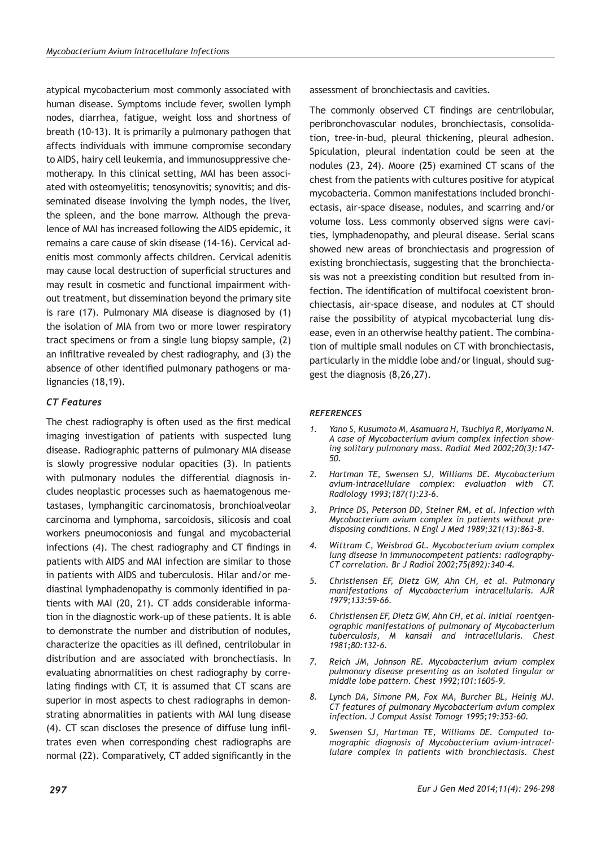atypical mycobacterium most commonly associated with human disease. Symptoms include fever, swollen lymph nodes, diarrhea, fatigue, weight loss and shortness of breath (10-13). It is primarily a pulmonary pathogen that affects individuals with immune compromise secondary to AIDS, hairy cell leukemia, and immunosuppressive chemotherapy. In this clinical setting, MAI has been associated with osteomyelitis; tenosynovitis; synovitis; and disseminated disease involving the lymph nodes, the liver, the spleen, and the bone marrow. Although the prevalence of MAI has increased following the AIDS epidemic, it remains a care cause of skin disease (14-16). Cervical adenitis most commonly affects children. Cervical adenitis may cause local destruction of superficial structures and may result in cosmetic and functional impairment without treatment, but dissemination beyond the primary site is rare (17). Pulmonary MIA disease is diagnosed by (1) the isolation of MIA from two or more lower respiratory tract specimens or from a single lung biopsy sample, (2) an infiltrative revealed by chest radiography, and (3) the absence of other identified pulmonary pathogens or malignancies (18,19).

## *CT Features*

The chest radiography is often used as the first medical imaging investigation of patients with suspected lung disease. Radiographic patterns of pulmonary MIA disease is slowly progressive nodular opacities (3). In patients with pulmonary nodules the differential diagnosis includes neoplastic processes such as haematogenous metastases, lymphangitic carcinomatosis, bronchioalveolar carcinoma and lymphoma, sarcoidosis, silicosis and coal workers pneumoconiosis and fungal and mycobacterial infections (4). The chest radiography and CT findings in patients with AIDS and MAI infection are similar to those in patients with AIDS and tuberculosis. Hilar and/or mediastinal lymphadenopathy is commonly identified in patients with MAI (20, 21). CT adds considerable information in the diagnostic work-up of these patients. It is able to demonstrate the number and distribution of nodules, characterize the opacities as ill defined, centrilobular in distribution and are associated with bronchectiasis. In evaluating abnormalities on chest radiography by correlating findings with CT, it is assumed that CT scans are superior in most aspects to chest radiographs in demonstrating abnormalities in patients with MAI lung disease (4). CT scan discloses the presence of diffuse lung infiltrates even when corresponding chest radiographs are normal (22). Comparatively, CT added significantly in the

*297*

assessment of bronchiectasis and cavities.

The commonly observed CT findings are centrilobular, peribronchovascular nodules, bronchiectasis, consolidation, tree-in-bud, pleural thickening, pleural adhesion. Spiculation, pleural indentation could be seen at the nodules (23, 24). Moore (25) examined CT scans of the chest from the patients with cultures positive for atypical mycobacteria. Common manifestations included bronchiectasis, air-space disease, nodules, and scarring and/or volume loss. Less commonly observed signs were cavities, lymphadenopathy, and pleural disease. Serial scans showed new areas of bronchiectasis and progression of existing bronchiectasis, suggesting that the bronchiectasis was not a preexisting condition but resulted from infection. The identification of multifocal coexistent bronchiectasis, air-space disease, and nodules at CT should raise the possibility of atypical mycobacterial lung disease, even in an otherwise healthy patient. The combination of multiple small nodules on CT with bronchiectasis, particularly in the middle lobe and/or lingual, should suggest the diagnosis (8,26,27).

## *REFERENCES*

- *1. Yano S, Kusumoto M, Asamuara H, Tsuchiya R, Moriyama N. A case of Mycobacterium avium complex infection showing solitary pulmonary mass. Radiat Med 2002;20(3):147- 50.*
- *2. Hartman TE, Swensen SJ, Williams DE. Mycobacterium avium-intracellulare complex: evaluation with CT. Radiology 1993;187(1):23-6.*
- *3. Prince DS, Peterson DD, Steiner RM, et al. Infection with Mycobacterium avium complex in patients without predisposing conditions. N Engl J Med 1989;321(13):863-8.*
- *4. Wittram C, Weisbrod GL. Mycobacterium avium complex lung disease in immunocompetent patients: radiography-CT correlation. Br J Radiol 2002;75(892):340-4.*
- *5. Christiensen EF, Dietz GW, Ahn CH, et al. Pulmonary manifestations of Mycobacterium intracellularis. AJR 1979;133:59-66.*
- *6. Christiensen EF, Dietz GW, Ahn CH, et al. Initial roentgenographic manifestations of pulmonary of Mycobacterium tuberculosis, M kansaii and intracellularis. Chest 1981;80:132-6.*
- *7. Reich JM, Johnson RE. Mycobacterium avium complex pulmonary disease presenting as an isolated lingular or middle lobe pattern. Chest 1992;101:1605-9.*
- *8. Lynch DA, Simone PM, Fox MA, Burcher BL, Heinig MJ. CT features of pulmonary Mycobacterium avium complex infection. J Comput Assist Tomogr 1995;19:353-60.*
- *9. Swensen SJ, Hartman TE, Williams DE. Computed tomographic diagnosis of Mycobacterium avium-intracellulare complex in patients with bronchiectasis. Chest*